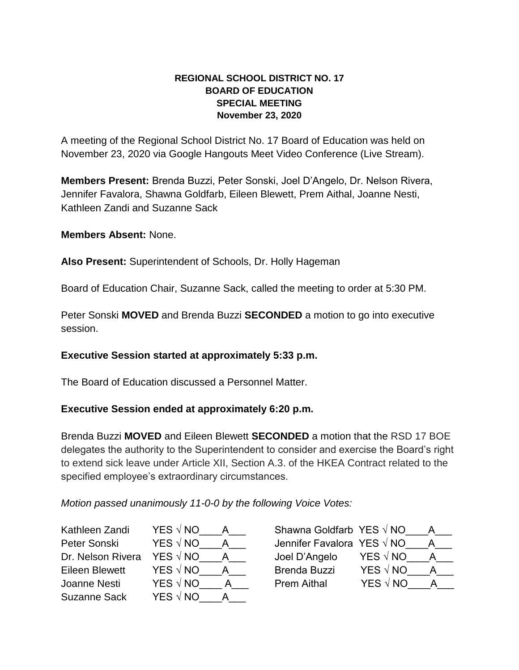## **REGIONAL SCHOOL DISTRICT NO. 17 BOARD OF EDUCATION SPECIAL MEETING November 23, 2020**

A meeting of the Regional School District No. 17 Board of Education was held on November 23, 2020 via Google Hangouts Meet Video Conference (Live Stream).

**Members Present:** Brenda Buzzi, Peter Sonski, Joel D'Angelo, Dr. Nelson Rivera, Jennifer Favalora, Shawna Goldfarb, Eileen Blewett, Prem Aithal, Joanne Nesti, Kathleen Zandi and Suzanne Sack

**Members Absent:** None.

**Also Present:** Superintendent of Schools, Dr. Holly Hageman

Board of Education Chair, Suzanne Sack, called the meeting to order at 5:30 PM.

Peter Sonski **MOVED** and Brenda Buzzi **SECONDED** a motion to go into executive session.

## **Executive Session started at approximately 5:33 p.m.**

The Board of Education discussed a Personnel Matter.

## **Executive Session ended at approximately 6:20 p.m.**

Brenda Buzzi **MOVED** and Eileen Blewett **SECONDED** a motion that the RSD 17 BOE delegates the authority to the Superintendent to consider and exercise the Board's right to extend sick leave under Article XII, Section A.3. of the HKEA Contract related to the specified employee's extraordinary circumstances.

*Motion passed unanimously 11-0-0 by the following Voice Votes:* 

Kathleen Zandi YES √ NO

Peter Sonski YES √ NO \_\_\_A Dr. Nelson Rivera YES √ NO *A* Eileen Blewett YES √ NO  $\quad$  A Joanne Nesti YES √ NO \_\_\_A Suzanne Sack YES  $\sqrt{N}$  A

| Shawna Goldfarb YES $\sqrt{N}$ NO |                 |  |
|-----------------------------------|-----------------|--|
| Jennifer Favalora YES √ NO        |                 |  |
| Joel D'Angelo                     | YES $\sqrt{NQ}$ |  |
| <b>Brenda Buzzi</b>               | <b>YES</b> √ NO |  |
| <b>Prem Aithal</b>                | YES √ NO        |  |
|                                   |                 |  |